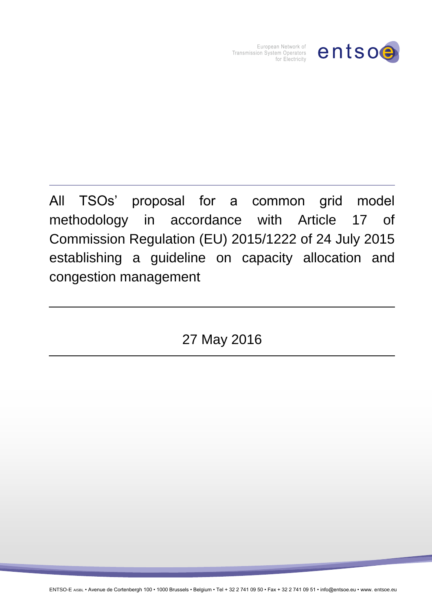

European Network of Transmission System Operators for Electricity

All TSOs' proposal for a common grid model methodology in accordance with Article 17 of Commission Regulation (EU) 2015/1222 of 24 July 2015 establishing a guideline on capacity allocation and congestion management

27 May 2016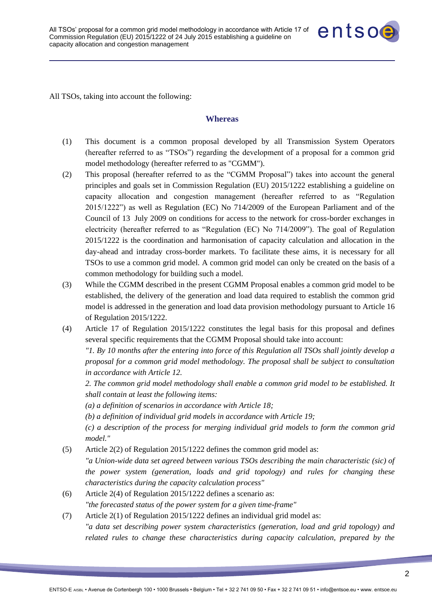

All TSOs, taking into account the following:

#### **Whereas**

- (1) This document is a common proposal developed by all Transmission System Operators (hereafter referred to as "TSOs") regarding the development of a proposal for a common grid model methodology (hereafter referred to as "CGMM").
- (2) This proposal (hereafter referred to as the "CGMM Proposal") takes into account the general principles and goals set in Commission Regulation (EU) 2015/1222 establishing a guideline on capacity allocation and congestion management (hereafter referred to as "Regulation 2015/1222") as well as Regulation (EC) No 714/2009 of the European Parliament and of the Council of 13 July 2009 on conditions for access to the network for cross-border exchanges in electricity (hereafter referred to as "Regulation (EC) No 714/2009"). The goal of Regulation 2015/1222 is the coordination and harmonisation of capacity calculation and allocation in the day-ahead and intraday cross-border markets. To facilitate these aims, it is necessary for all TSOs to use a common grid model. A common grid model can only be created on the basis of a common methodology for building such a model.
- (3) While the CGMM described in the present CGMM Proposal enables a common grid model to be established, the delivery of the generation and load data required to establish the common grid model is addressed in the generation and load data provision methodology pursuant to Article 16 of Regulation 2015/1222.
- (4) Article 17 of Regulation 2015/1222 constitutes the legal basis for this proposal and defines several specific requirements that the CGMM Proposal should take into account: *"1. By 10 months after the entering into force of this Regulation all TSOs shall jointly develop a proposal for a common grid model methodology. The proposal shall be subject to consultation*

*in accordance with Article 12.* 

*2. The common grid model methodology shall enable a common grid model to be established. It shall contain at least the following items:* 

*(a) a definition of scenarios in accordance with Article 18;* 

*(b) a definition of individual grid models in accordance with Article 19;* 

*(c) a description of the process for merging individual grid models to form the common grid model."*

(5) Article 2(2) of Regulation 2015/1222 defines the common grid model as:

*"a Union-wide data set agreed between various TSOs describing the main characteristic (sic) of the power system (generation, loads and grid topology) and rules for changing these characteristics during the capacity calculation process"*

- (6) Article 2(4) of Regulation 2015/1222 defines a scenario as: *"the forecasted status of the power system for a given time-frame"*
- (7) Article 2(1) of Regulation 2015/1222 defines an individual grid model as: *"a data set describing power system characteristics (generation, load and grid topology) and related rules to change these characteristics during capacity calculation, prepared by the*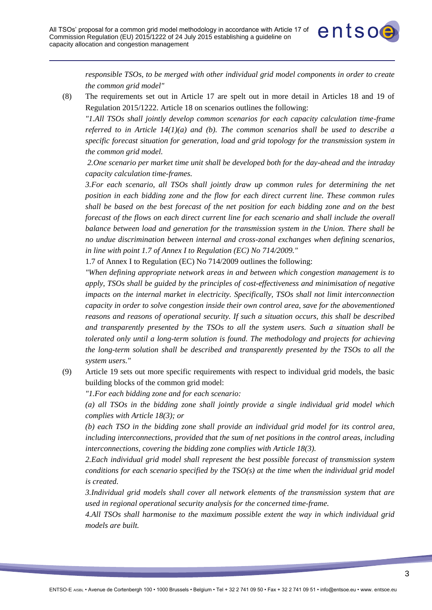

*responsible TSOs, to be merged with other individual grid model components in order to create the common grid model"*

(8) The requirements set out in Article 17 are spelt out in more detail in Articles 18 and 19 of Regulation 2015/1222. Article 18 on scenarios outlines the following:

*"1.All TSOs shall jointly develop common scenarios for each capacity calculation time-frame referred to in Article 14(1)(a) and (b). The common scenarios shall be used to describe a specific forecast situation for generation, load and grid topology for the transmission system in the common grid model.*

*2.One scenario per market time unit shall be developed both for the day-ahead and the intraday capacity calculation time-frames.* 

*3.For each scenario, all TSOs shall jointly draw up common rules for determining the net position in each bidding zone and the flow for each direct current line. These common rules shall be based on the best forecast of the net position for each bidding zone and on the best forecast of the flows on each direct current line for each scenario and shall include the overall balance between load and generation for the transmission system in the Union. There shall be no undue discrimination between internal and cross-zonal exchanges when defining scenarios, in line with point 1.7 of Annex I to Regulation (EC) No 714/2009."*

1.7 of Annex I to Regulation (EC) No 714/2009 outlines the following:

*"When defining appropriate network areas in and between which congestion management is to apply, TSOs shall be guided by the principles of cost-effectiveness and minimisation of negative impacts on the internal market in electricity. Specifically, TSOs shall not limit interconnection capacity in order to solve congestion inside their own control area, save for the abovementioned reasons and reasons of operational security. If such a situation occurs, this shall be described and transparently presented by the TSOs to all the system users. Such a situation shall be tolerated only until a long-term solution is found. The methodology and projects for achieving the long-term solution shall be described and transparently presented by the TSOs to all the system users."*

(9) Article 19 sets out more specific requirements with respect to individual grid models, the basic building blocks of the common grid model:

*"1.For each bidding zone and for each scenario:* 

*(a) all TSOs in the bidding zone shall jointly provide a single individual grid model which complies with Article 18(3); or* 

*(b) each TSO in the bidding zone shall provide an individual grid model for its control area, including interconnections, provided that the sum of net positions in the control areas, including interconnections, covering the bidding zone complies with Article 18(3).*

*2.Each individual grid model shall represent the best possible forecast of transmission system conditions for each scenario specified by the TSO(s) at the time when the individual grid model is created.* 

*3.Individual grid models shall cover all network elements of the transmission system that are used in regional operational security analysis for the concerned time-frame.* 

*4.All TSOs shall harmonise to the maximum possible extent the way in which individual grid models are built.*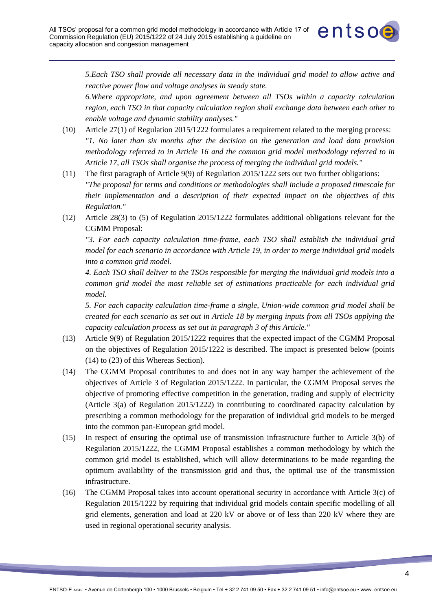

*5.Each TSO shall provide all necessary data in the individual grid model to allow active and reactive power flow and voltage analyses in steady state.*

*6.Where appropriate, and upon agreement between all TSOs within a capacity calculation region, each TSO in that capacity calculation region shall exchange data between each other to enable voltage and dynamic stability analyses."*

- (10) Article 27(1) of Regulation 2015/1222 formulates a requirement related to the merging process: *"1. No later than six months after the decision on the generation and load data provision methodology referred to in Article 16 and the common grid model methodology referred to in Article 17, all TSOs shall organise the process of merging the individual grid models."*
- (11) The first paragraph of Article 9(9) of Regulation 2015/1222 sets out two further obligations: *"The proposal for terms and conditions or methodologies shall include a proposed timescale for their implementation and a description of their expected impact on the objectives of this Regulation."*
- (12) Article 28(3) to (5) of Regulation 2015/1222 formulates additional obligations relevant for the CGMM Proposal:

*"3. For each capacity calculation time-frame, each TSO shall establish the individual grid model for each scenario in accordance with Article 19, in order to merge individual grid models into a common grid model.*

*4. Each TSO shall deliver to the TSOs responsible for merging the individual grid models into a common grid model the most reliable set of estimations practicable for each individual grid model.*

*5. For each capacity calculation time-frame a single, Union-wide common grid model shall be created for each scenario as set out in Article 18 by merging inputs from all TSOs applying the capacity calculation process as set out in paragraph 3 of this Article."*

- (13) Article 9(9) of Regulation 2015/1222 requires that the expected impact of the CGMM Proposal on the objectives of Regulation 2015/1222 is described. The impact is presented below (points (14) to (23) of this Whereas Section).
- (14) The CGMM Proposal contributes to and does not in any way hamper the achievement of the objectives of Article 3 of Regulation 2015/1222. In particular, the CGMM Proposal serves the objective of promoting effective competition in the generation, trading and supply of electricity (Article 3(a) of Regulation 2015/1222) in contributing to coordinated capacity calculation by prescribing a common methodology for the preparation of individual grid models to be merged into the common pan-European grid model.
- (15) In respect of ensuring the optimal use of transmission infrastructure further to Article 3(b) of Regulation 2015/1222, the CGMM Proposal establishes a common methodology by which the common grid model is established, which will allow determinations to be made regarding the optimum availability of the transmission grid and thus, the optimal use of the transmission infrastructure.
- (16) The CGMM Proposal takes into account operational security in accordance with Article 3(c) of Regulation 2015/1222 by requiring that individual grid models contain specific modelling of all grid elements, generation and load at 220 kV or above or of less than 220 kV where they are used in regional operational security analysis.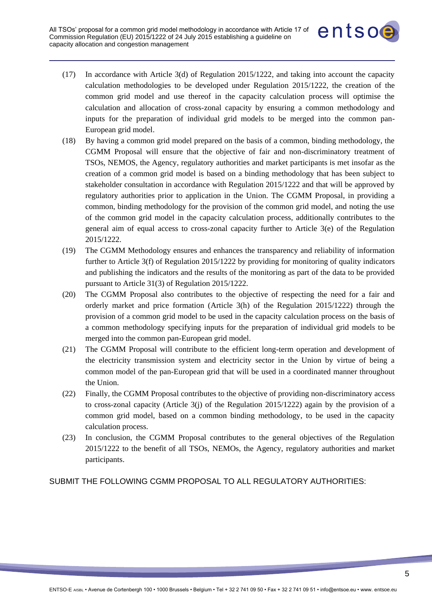

- (17) In accordance with Article 3(d) of Regulation 2015/1222, and taking into account the capacity calculation methodologies to be developed under Regulation 2015/1222, the creation of the common grid model and use thereof in the capacity calculation process will optimise the calculation and allocation of cross-zonal capacity by ensuring a common methodology and inputs for the preparation of individual grid models to be merged into the common pan-European grid model.
- (18) By having a common grid model prepared on the basis of a common, binding methodology, the CGMM Proposal will ensure that the objective of fair and non-discriminatory treatment of TSOs, NEMOS, the Agency, regulatory authorities and market participants is met insofar as the creation of a common grid model is based on a binding methodology that has been subject to stakeholder consultation in accordance with Regulation 2015/1222 and that will be approved by regulatory authorities prior to application in the Union. The CGMM Proposal, in providing a common, binding methodology for the provision of the common grid model, and noting the use of the common grid model in the capacity calculation process, additionally contributes to the general aim of equal access to cross-zonal capacity further to Article 3(e) of the Regulation 2015/1222.
- (19) The CGMM Methodology ensures and enhances the transparency and reliability of information further to Article 3(f) of Regulation 2015/1222 by providing for monitoring of quality indicators and publishing the indicators and the results of the monitoring as part of the data to be provided pursuant to Article 31(3) of Regulation 2015/1222.
- (20) The CGMM Proposal also contributes to the objective of respecting the need for a fair and orderly market and price formation (Article 3(h) of the Regulation 2015/1222) through the provision of a common grid model to be used in the capacity calculation process on the basis of a common methodology specifying inputs for the preparation of individual grid models to be merged into the common pan-European grid model.
- (21) The CGMM Proposal will contribute to the efficient long-term operation and development of the electricity transmission system and electricity sector in the Union by virtue of being a common model of the pan-European grid that will be used in a coordinated manner throughout the Union.
- (22) Finally, the CGMM Proposal contributes to the objective of providing non-discriminatory access to cross-zonal capacity (Article  $3(j)$  of the Regulation 2015/1222) again by the provision of a common grid model, based on a common binding methodology, to be used in the capacity calculation process.
- (23) In conclusion, the CGMM Proposal contributes to the general objectives of the Regulation 2015/1222 to the benefit of all TSOs, NEMOs, the Agency, regulatory authorities and market participants.

SUBMIT THE FOLLOWING CGMM PROPOSAL TO ALL REGULATORY AUTHORITIES: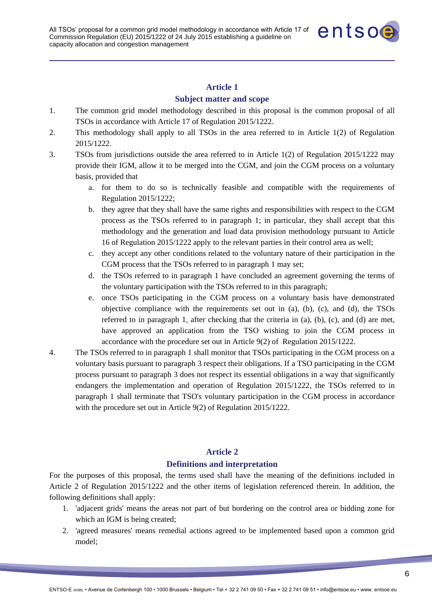

#### **Subject matter and scope**

- 1. The common grid model methodology described in this proposal is the common proposal of all TSOs in accordance with Article 17 of Regulation 2015/1222.
- 2. This methodology shall apply to all TSOs in the area referred to in Article 1(2) of Regulation 2015/1222.
- 3. TSOs from jurisdictions outside the area referred to in Article 1(2) of Regulation 2015/1222 may provide their IGM, allow it to be merged into the CGM, and join the CGM process on a voluntary basis, provided that
	- a. for them to do so is technically feasible and compatible with the requirements of Regulation 2015/1222;
	- b. they agree that they shall have the same rights and responsibilities with respect to the CGM process as the TSOs referred to in paragraph 1; in particular, they shall accept that this methodology and the generation and load data provision methodology pursuant to Article 16 of Regulation 2015/1222 apply to the relevant parties in their control area as well;
	- c. they accept any other conditions related to the voluntary nature of their participation in the CGM process that the TSOs referred to in paragraph 1 may set;
	- d. the TSOs referred to in paragraph 1 have concluded an agreement governing the terms of the voluntary participation with the TSOs referred to in this paragraph;
	- e. once TSOs participating in the CGM process on a voluntary basis have demonstrated objective compliance with the requirements set out in (a), (b), (c), and (d), the TSOs referred to in paragraph 1, after checking that the criteria in (a), (b), (c), and (d) are met, have approved an application from the TSO wishing to join the CGM process in accordance with the procedure set out in Article 9(2) of Regulation 2015/1222.
- 4. The TSOs referred to in paragraph 1 shall monitor that TSOs participating in the CGM process on a voluntary basis pursuant to paragraph 3 respect their obligations. If a TSO participating in the CGM process pursuant to paragraph 3 does not respect its essential obligations in a way that significantly endangers the implementation and operation of Regulation 2015/1222, the TSOs referred to in paragraph 1 shall terminate that TSO's voluntary participation in the CGM process in accordance with the procedure set out in Article 9(2) of Regulation 2015/1222.

## **Article 2**

#### **Definitions and interpretation**

For the purposes of this proposal, the terms used shall have the meaning of the definitions included in Article 2 of Regulation 2015/1222 and the other items of legislation referenced therein. In addition, the following definitions shall apply:

- 1. 'adjacent grids' means the areas not part of but bordering on the control area or bidding zone for which an IGM is being created:
- 2. 'agreed measures' means remedial actions agreed to be implemented based upon a common grid model;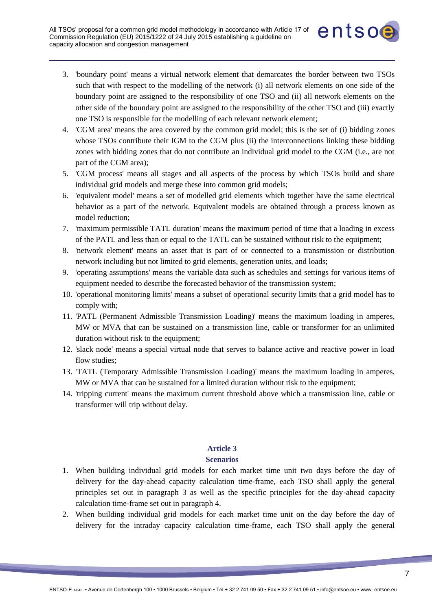

- 3. 'boundary point' means a virtual network element that demarcates the border between two TSOs such that with respect to the modelling of the network (i) all network elements on one side of the boundary point are assigned to the responsibility of one TSO and (ii) all network elements on the other side of the boundary point are assigned to the responsibility of the other TSO and (iii) exactly one TSO is responsible for the modelling of each relevant network element;
- 4. 'CGM area' means the area covered by the common grid model; this is the set of (i) bidding zones whose TSOs contribute their IGM to the CGM plus (ii) the interconnections linking these bidding zones with bidding zones that do not contribute an individual grid model to the CGM (i.e., are not part of the CGM area);
- 5. 'CGM process' means all stages and all aspects of the process by which TSOs build and share individual grid models and merge these into common grid models;
- 6. 'equivalent model' means a set of modelled grid elements which together have the same electrical behavior as a part of the network. Equivalent models are obtained through a process known as model reduction;
- 7. 'maximum permissible TATL duration' means the maximum period of time that a loading in excess of the PATL and less than or equal to the TATL can be sustained without risk to the equipment;
- 8. 'network element' means an asset that is part of or connected to a transmission or distribution network including but not limited to grid elements, generation units, and loads;
- 9. 'operating assumptions' means the variable data such as schedules and settings for various items of equipment needed to describe the forecasted behavior of the transmission system;
- 10. 'operational monitoring limits' means a subset of operational security limits that a grid model has to comply with;
- 11. 'PATL (Permanent Admissible Transmission Loading)' means the maximum loading in amperes, MW or MVA that can be sustained on a transmission line, cable or transformer for an unlimited duration without risk to the equipment;
- 12. 'slack node' means a special virtual node that serves to balance active and reactive power in load flow studies;
- 13. 'TATL (Temporary Admissible Transmission Loading)' means the maximum loading in amperes, MW or MVA that can be sustained for a limited duration without risk to the equipment;
- 14. 'tripping current' means the maximum current threshold above which a transmission line, cable or transformer will trip without delay.

### **Scenarios**

- 1. When building individual grid models for each market time unit two days before the day of delivery for the day-ahead capacity calculation time-frame, each TSO shall apply the general principles set out in paragraph 3 as well as the specific principles for the day-ahead capacity calculation time-frame set out in paragraph 4.
- 2. When building individual grid models for each market time unit on the day before the day of delivery for the intraday capacity calculation time-frame, each TSO shall apply the general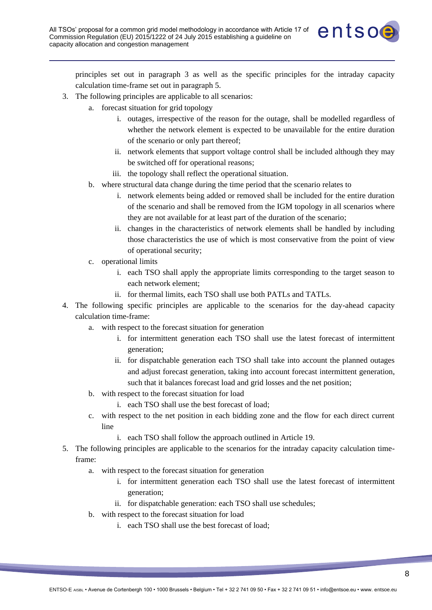

principles set out in paragraph 3 as well as the specific principles for the intraday capacity calculation time-frame set out in paragraph 5.

- 3. The following principles are applicable to all scenarios:
	- a. forecast situation for grid topology
		- i. outages, irrespective of the reason for the outage, shall be modelled regardless of whether the network element is expected to be unavailable for the entire duration of the scenario or only part thereof;
		- ii. network elements that support voltage control shall be included although they may be switched off for operational reasons;
		- iii. the topology shall reflect the operational situation.
	- b. where structural data change during the time period that the scenario relates to
		- i. network elements being added or removed shall be included for the entire duration of the scenario and shall be removed from the IGM topology in all scenarios where they are not available for at least part of the duration of the scenario;
		- ii. changes in the characteristics of network elements shall be handled by including those characteristics the use of which is most conservative from the point of view of operational security;
	- c. operational limits
		- i. each TSO shall apply the appropriate limits corresponding to the target season to each network element;
		- ii. for thermal limits, each TSO shall use both PATLs and TATLs.
- 4. The following specific principles are applicable to the scenarios for the day-ahead capacity calculation time-frame:
	- a. with respect to the forecast situation for generation
		- i. for intermittent generation each TSO shall use the latest forecast of intermittent generation;
		- ii. for dispatchable generation each TSO shall take into account the planned outages and adjust forecast generation, taking into account forecast intermittent generation, such that it balances forecast load and grid losses and the net position;
	- b. with respect to the forecast situation for load
		- i. each TSO shall use the best forecast of load;
	- c. with respect to the net position in each bidding zone and the flow for each direct current line
		- i. each TSO shall follow the approach outlined in Article 19.
- 5. The following principles are applicable to the scenarios for the intraday capacity calculation timeframe:
	- a. with respect to the forecast situation for generation
		- i. for intermittent generation each TSO shall use the latest forecast of intermittent generation;
		- ii. for dispatchable generation: each TSO shall use schedules;
	- b. with respect to the forecast situation for load
		- i. each TSO shall use the best forecast of load;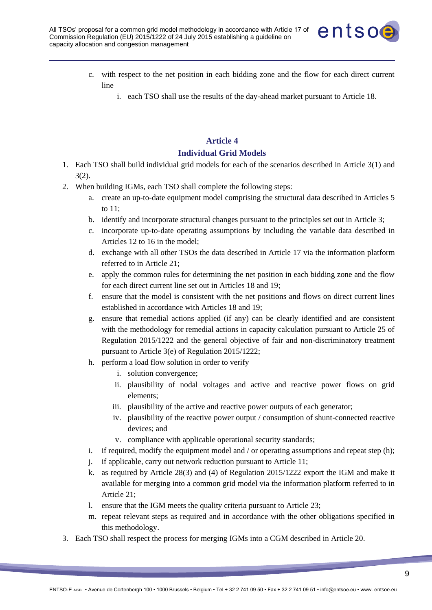

- c. with respect to the net position in each bidding zone and the flow for each direct current line
	- i. each TSO shall use the results of the day-ahead market pursuant to Article 18.

# **Article 4 Individual Grid Models**

- 1. Each TSO shall build individual grid models for each of the scenarios described in Article 3(1) and 3(2).
- 2. When building IGMs, each TSO shall complete the following steps:
	- a. create an up-to-date equipment model comprising the structural data described in Articles 5 to 11;
	- b. identify and incorporate structural changes pursuant to the principles set out in Article 3;
	- c. incorporate up-to-date operating assumptions by including the variable data described in Articles 12 to 16 in the model;
	- d. exchange with all other TSOs the data described in Article 17 via the information platform referred to in Article 21;
	- e. apply the common rules for determining the net position in each bidding zone and the flow for each direct current line set out in Articles 18 and 19;
	- f. ensure that the model is consistent with the net positions and flows on direct current lines established in accordance with Articles 18 and 19;
	- g. ensure that remedial actions applied (if any) can be clearly identified and are consistent with the methodology for remedial actions in capacity calculation pursuant to Article 25 of Regulation 2015/1222 and the general objective of fair and non-discriminatory treatment pursuant to Article 3(e) of Regulation 2015/1222;
	- h. perform a load flow solution in order to verify
		- i. solution convergence;
		- ii. plausibility of nodal voltages and active and reactive power flows on grid elements;
		- iii. plausibility of the active and reactive power outputs of each generator;
		- iv. plausibility of the reactive power output / consumption of shunt-connected reactive devices; and
		- v. compliance with applicable operational security standards;
	- i. if required, modify the equipment model and / or operating assumptions and repeat step (h);
	- j. if applicable, carry out network reduction pursuant to Article 11;
	- k. as required by Article 28(3) and (4) of Regulation 2015/1222 export the IGM and make it available for merging into a common grid model via the information platform referred to in Article 21;
	- l. ensure that the IGM meets the quality criteria pursuant to Article 23;
	- m. repeat relevant steps as required and in accordance with the other obligations specified in this methodology.
- 3. Each TSO shall respect the process for merging IGMs into a CGM described in Article 20.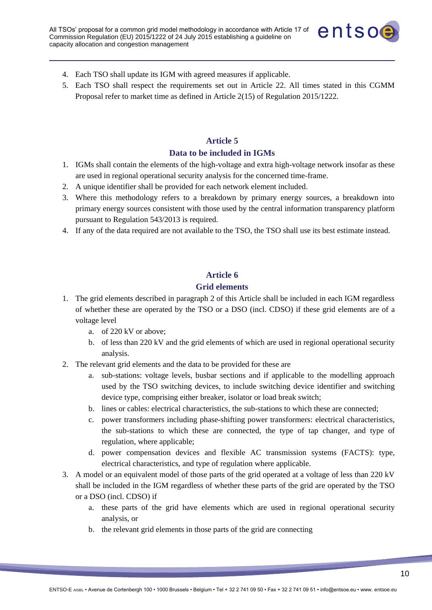

- 4. Each TSO shall update its IGM with agreed measures if applicable.
- 5. Each TSO shall respect the requirements set out in Article 22. All times stated in this CGMM Proposal refer to market time as defined in Article 2(15) of Regulation 2015/1222.

# **Article 5 Data to be included in IGMs**

- 1. IGMs shall contain the elements of the high-voltage and extra high-voltage network insofar as these are used in regional operational security analysis for the concerned time-frame.
- 2. A unique identifier shall be provided for each network element included.
- 3. Where this methodology refers to a breakdown by primary energy sources, a breakdown into primary energy sources consistent with those used by the central information transparency platform pursuant to Regulation 543/2013 is required.
- 4. If any of the data required are not available to the TSO, the TSO shall use its best estimate instead.

### **Article 6**

### **Grid elements**

- 1. The grid elements described in paragraph 2 of this Article shall be included in each IGM regardless of whether these are operated by the TSO or a DSO (incl. CDSO) if these grid elements are of a voltage level
	- a. of 220 kV or above;
	- b. of less than 220 kV and the grid elements of which are used in regional operational security analysis.
- 2. The relevant grid elements and the data to be provided for these are
	- a. sub-stations: voltage levels, busbar sections and if applicable to the modelling approach used by the TSO switching devices, to include switching device identifier and switching device type, comprising either breaker, isolator or load break switch;
	- b. lines or cables: electrical characteristics, the sub-stations to which these are connected;
	- c. power transformers including phase-shifting power transformers: electrical characteristics, the sub-stations to which these are connected, the type of tap changer, and type of regulation, where applicable;
	- d. power compensation devices and flexible AC transmission systems (FACTS): type, electrical characteristics, and type of regulation where applicable.
- 3. A model or an equivalent model of those parts of the grid operated at a voltage of less than 220 kV shall be included in the IGM regardless of whether these parts of the grid are operated by the TSO or a DSO (incl. CDSO) if
	- a. these parts of the grid have elements which are used in regional operational security analysis, or
	- b. the relevant grid elements in those parts of the grid are connecting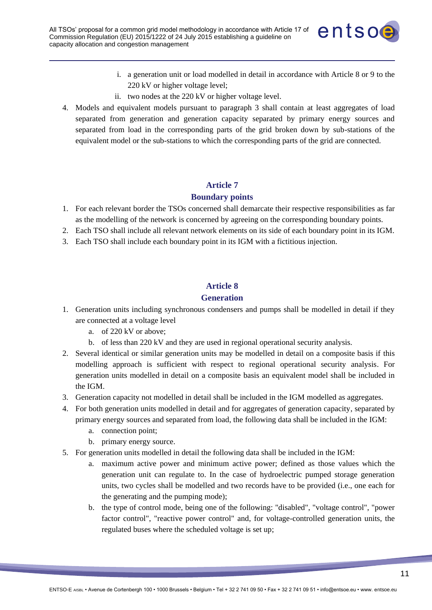

- i. a generation unit or load modelled in detail in accordance with Article 8 or 9 to the 220 kV or higher voltage level;
- ii. two nodes at the 220 kV or higher voltage level.
- 4. Models and equivalent models pursuant to paragraph 3 shall contain at least aggregates of load separated from generation and generation capacity separated by primary energy sources and separated from load in the corresponding parts of the grid broken down by sub-stations of the equivalent model or the sub-stations to which the corresponding parts of the grid are connected.

### **Boundary points**

- 1. For each relevant border the TSOs concerned shall demarcate their respective responsibilities as far as the modelling of the network is concerned by agreeing on the corresponding boundary points.
- 2. Each TSO shall include all relevant network elements on its side of each boundary point in its IGM.
- 3. Each TSO shall include each boundary point in its IGM with a fictitious injection.

# **Article 8**

### **Generation**

- 1. Generation units including synchronous condensers and pumps shall be modelled in detail if they are connected at a voltage level
	- a. of 220 kV or above;
	- b. of less than 220 kV and they are used in regional operational security analysis.
- 2. Several identical or similar generation units may be modelled in detail on a composite basis if this modelling approach is sufficient with respect to regional operational security analysis. For generation units modelled in detail on a composite basis an equivalent model shall be included in the IGM.
- 3. Generation capacity not modelled in detail shall be included in the IGM modelled as aggregates.
- 4. For both generation units modelled in detail and for aggregates of generation capacity, separated by primary energy sources and separated from load, the following data shall be included in the IGM:
	- a. connection point;
	- b. primary energy source.
- 5. For generation units modelled in detail the following data shall be included in the IGM:
	- maximum active power and minimum active power; defined as those values which the generation unit can regulate to. In the case of hydroelectric pumped storage generation units, two cycles shall be modelled and two records have to be provided (i.e., one each for the generating and the pumping mode);
	- b. the type of control mode, being one of the following: "disabled", "voltage control", "power factor control", "reactive power control" and, for voltage-controlled generation units, the regulated buses where the scheduled voltage is set up;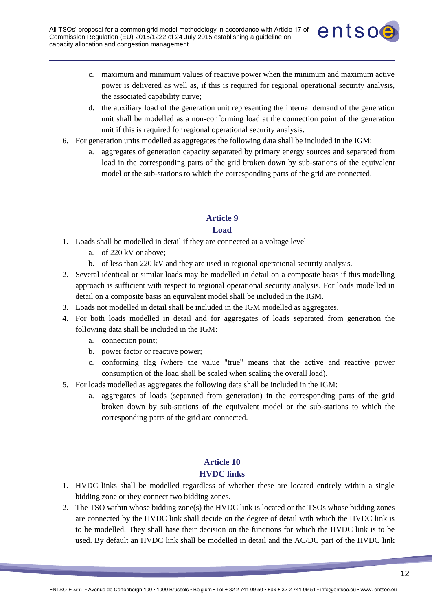

- c. maximum and minimum values of reactive power when the minimum and maximum active power is delivered as well as, if this is required for regional operational security analysis, the associated capability curve;
- d. the auxiliary load of the generation unit representing the internal demand of the generation unit shall be modelled as a non-conforming load at the connection point of the generation unit if this is required for regional operational security analysis.
- 6. For generation units modelled as aggregates the following data shall be included in the IGM:
	- a. aggregates of generation capacity separated by primary energy sources and separated from load in the corresponding parts of the grid broken down by sub-stations of the equivalent model or the sub-stations to which the corresponding parts of the grid are connected.

### **Load**

- 1. Loads shall be modelled in detail if they are connected at a voltage level
	- a. of 220 kV or above;
	- b. of less than 220 kV and they are used in regional operational security analysis.
- 2. Several identical or similar loads may be modelled in detail on a composite basis if this modelling approach is sufficient with respect to regional operational security analysis. For loads modelled in detail on a composite basis an equivalent model shall be included in the IGM.
- 3. Loads not modelled in detail shall be included in the IGM modelled as aggregates.
- 4. For both loads modelled in detail and for aggregates of loads separated from generation the following data shall be included in the IGM:
	- a. connection point;
	- b. power factor or reactive power;
	- c. conforming flag (where the value "true" means that the active and reactive power consumption of the load shall be scaled when scaling the overall load).
- 5. For loads modelled as aggregates the following data shall be included in the IGM:
	- a. aggregates of loads (separated from generation) in the corresponding parts of the grid broken down by sub-stations of the equivalent model or the sub-stations to which the corresponding parts of the grid are connected.

# **Article 10 HVDC links**

- 1. HVDC links shall be modelled regardless of whether these are located entirely within a single bidding zone or they connect two bidding zones.
- 2. The TSO within whose bidding zone(s) the HVDC link is located or the TSOs whose bidding zones are connected by the HVDC link shall decide on the degree of detail with which the HVDC link is to be modelled. They shall base their decision on the functions for which the HVDC link is to be used. By default an HVDC link shall be modelled in detail and the AC/DC part of the HVDC link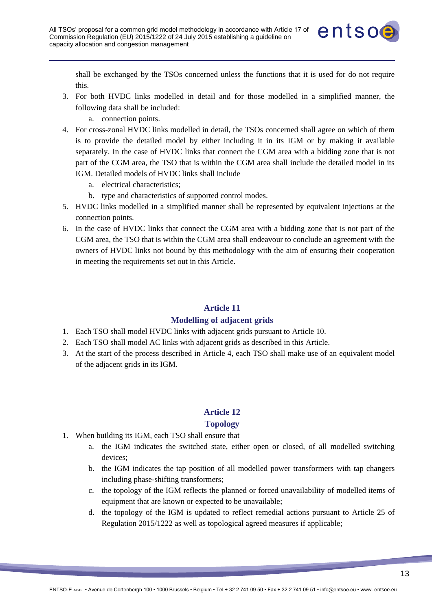

shall be exchanged by the TSOs concerned unless the functions that it is used for do not require this.

- 3. For both HVDC links modelled in detail and for those modelled in a simplified manner, the following data shall be included:
	- a. connection points.
- 4. For cross-zonal HVDC links modelled in detail, the TSOs concerned shall agree on which of them is to provide the detailed model by either including it in its IGM or by making it available separately. In the case of HVDC links that connect the CGM area with a bidding zone that is not part of the CGM area, the TSO that is within the CGM area shall include the detailed model in its IGM. Detailed models of HVDC links shall include
	- a. electrical characteristics;
	- b. type and characteristics of supported control modes.
- 5. HVDC links modelled in a simplified manner shall be represented by equivalent injections at the connection points.
- 6. In the case of HVDC links that connect the CGM area with a bidding zone that is not part of the CGM area, the TSO that is within the CGM area shall endeavour to conclude an agreement with the owners of HVDC links not bound by this methodology with the aim of ensuring their cooperation in meeting the requirements set out in this Article.

### **Article 11**

#### **Modelling of adjacent grids**

- 1. Each TSO shall model HVDC links with adjacent grids pursuant to Article 10.
- 2. Each TSO shall model AC links with adjacent grids as described in this Article.
- 3. At the start of the process described in Article 4, each TSO shall make use of an equivalent model of the adjacent grids in its IGM.

## **Article 12**

#### **Topology**

- 1. When building its IGM, each TSO shall ensure that
	- a. the IGM indicates the switched state, either open or closed, of all modelled switching devices;
	- b. the IGM indicates the tap position of all modelled power transformers with tap changers including phase-shifting transformers;
	- c. the topology of the IGM reflects the planned or forced unavailability of modelled items of equipment that are known or expected to be unavailable;
	- d. the topology of the IGM is updated to reflect remedial actions pursuant to Article 25 of Regulation 2015/1222 as well as topological agreed measures if applicable;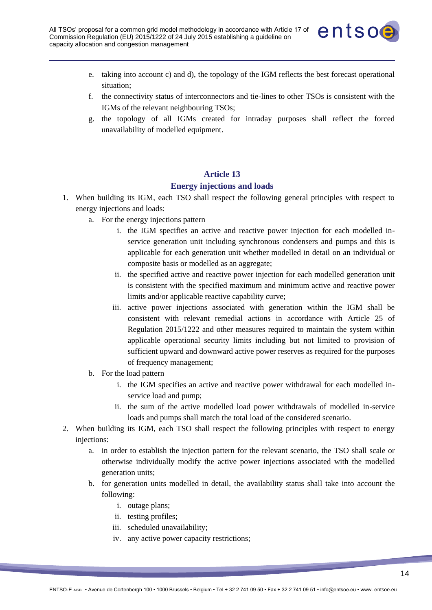

- e. taking into account c) and d), the topology of the IGM reflects the best forecast operational situation;
- f. the connectivity status of interconnectors and tie-lines to other TSOs is consistent with the IGMs of the relevant neighbouring TSOs;
- g. the topology of all IGMs created for intraday purposes shall reflect the forced unavailability of modelled equipment.

### **Energy injections and loads**

- 1. When building its IGM, each TSO shall respect the following general principles with respect to energy injections and loads:
	- a. For the energy injections pattern
		- i. the IGM specifies an active and reactive power injection for each modelled inservice generation unit including synchronous condensers and pumps and this is applicable for each generation unit whether modelled in detail on an individual or composite basis or modelled as an aggregate;
		- ii. the specified active and reactive power injection for each modelled generation unit is consistent with the specified maximum and minimum active and reactive power limits and/or applicable reactive capability curve;
		- iii. active power injections associated with generation within the IGM shall be consistent with relevant remedial actions in accordance with Article 25 of Regulation 2015/1222 and other measures required to maintain the system within applicable operational security limits including but not limited to provision of sufficient upward and downward active power reserves as required for the purposes of frequency management;
	- b. For the load pattern
		- i. the IGM specifies an active and reactive power withdrawal for each modelled inservice load and pump;
		- ii. the sum of the active modelled load power withdrawals of modelled in-service loads and pumps shall match the total load of the considered scenario.
- 2. When building its IGM, each TSO shall respect the following principles with respect to energy injections:
	- a. in order to establish the injection pattern for the relevant scenario, the TSO shall scale or otherwise individually modify the active power injections associated with the modelled generation units;
	- b. for generation units modelled in detail, the availability status shall take into account the following:
		- i. outage plans;
		- ii. testing profiles;
		- iii. scheduled unavailability;
		- iv. any active power capacity restrictions;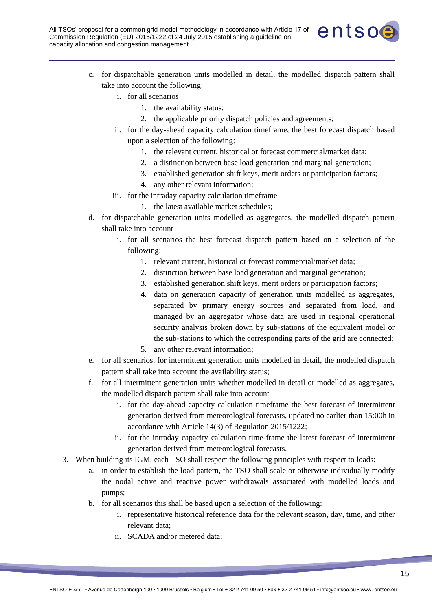

- c. for dispatchable generation units modelled in detail, the modelled dispatch pattern shall take into account the following:
	- i. for all scenarios
		- 1. the availability status;
		- 2. the applicable priority dispatch policies and agreements;
	- ii. for the day-ahead capacity calculation timeframe, the best forecast dispatch based upon a selection of the following:
		- 1. the relevant current, historical or forecast commercial/market data;
		- 2. a distinction between base load generation and marginal generation;
		- 3. established generation shift keys, merit orders or participation factors;
		- 4. any other relevant information;
	- iii. for the intraday capacity calculation timeframe
		- 1. the latest available market schedules;
- d. for dispatchable generation units modelled as aggregates, the modelled dispatch pattern shall take into account
	- i. for all scenarios the best forecast dispatch pattern based on a selection of the following:
		- 1. relevant current, historical or forecast commercial/market data;
		- 2. distinction between base load generation and marginal generation;
		- 3. established generation shift keys, merit orders or participation factors;
		- 4. data on generation capacity of generation units modelled as aggregates, separated by primary energy sources and separated from load, and managed by an aggregator whose data are used in regional operational security analysis broken down by sub-stations of the equivalent model or the sub-stations to which the corresponding parts of the grid are connected;
		- 5. any other relevant information;
- e. for all scenarios, for intermittent generation units modelled in detail, the modelled dispatch pattern shall take into account the availability status;
- f. for all intermittent generation units whether modelled in detail or modelled as aggregates, the modelled dispatch pattern shall take into account
	- i. for the day-ahead capacity calculation timeframe the best forecast of intermittent generation derived from meteorological forecasts, updated no earlier than 15:00h in accordance with Article 14(3) of Regulation 2015/1222;
	- ii. for the intraday capacity calculation time-frame the latest forecast of intermittent generation derived from meteorological forecasts.
- 3. When building its IGM, each TSO shall respect the following principles with respect to loads:
	- a. in order to establish the load pattern, the TSO shall scale or otherwise individually modify the nodal active and reactive power withdrawals associated with modelled loads and pumps;
	- b. for all scenarios this shall be based upon a selection of the following:
		- i. representative historical reference data for the relevant season, day, time, and other relevant data;
		- ii. SCADA and/or metered data;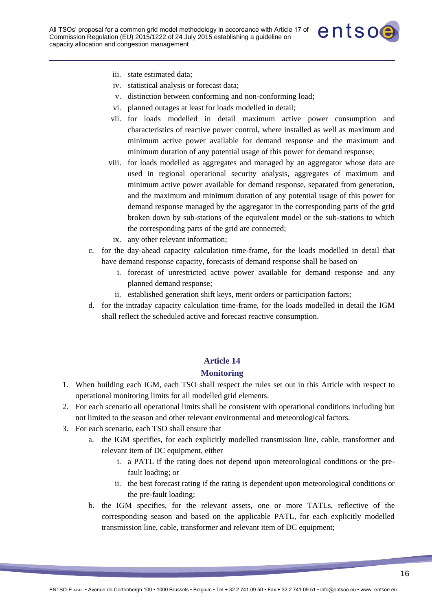

- iii. state estimated data;
- iv. statistical analysis or forecast data;
- v. distinction between conforming and non-conforming load;
- vi. planned outages at least for loads modelled in detail;
- vii. for loads modelled in detail maximum active power consumption and characteristics of reactive power control, where installed as well as maximum and minimum active power available for demand response and the maximum and minimum duration of any potential usage of this power for demand response;
- viii. for loads modelled as aggregates and managed by an aggregator whose data are used in regional operational security analysis, aggregates of maximum and minimum active power available for demand response, separated from generation, and the maximum and minimum duration of any potential usage of this power for demand response managed by the aggregator in the corresponding parts of the grid broken down by sub-stations of the equivalent model or the sub-stations to which the corresponding parts of the grid are connected;
	- ix. any other relevant information;
- c. for the day-ahead capacity calculation time-frame, for the loads modelled in detail that have demand response capacity, forecasts of demand response shall be based on
	- i. forecast of unrestricted active power available for demand response and any planned demand response;
	- ii. established generation shift keys, merit orders or participation factors;
- d. for the intraday capacity calculation time-frame, for the loads modelled in detail the IGM shall reflect the scheduled active and forecast reactive consumption.

#### **Monitoring**

- 1. When building each IGM, each TSO shall respect the rules set out in this Article with respect to operational monitoring limits for all modelled grid elements.
- 2. For each scenario all operational limits shall be consistent with operational conditions including but not limited to the season and other relevant environmental and meteorological factors.
- 3. For each scenario, each TSO shall ensure that
	- a. the IGM specifies, for each explicitly modelled transmission line, cable, transformer and relevant item of DC equipment, either
		- i. a PATL if the rating does not depend upon meteorological conditions or the prefault loading; or
		- ii. the best forecast rating if the rating is dependent upon meteorological conditions or the pre-fault loading;
	- b. the IGM specifies, for the relevant assets, one or more TATLs, reflective of the corresponding season and based on the applicable PATL, for each explicitly modelled transmission line, cable, transformer and relevant item of DC equipment;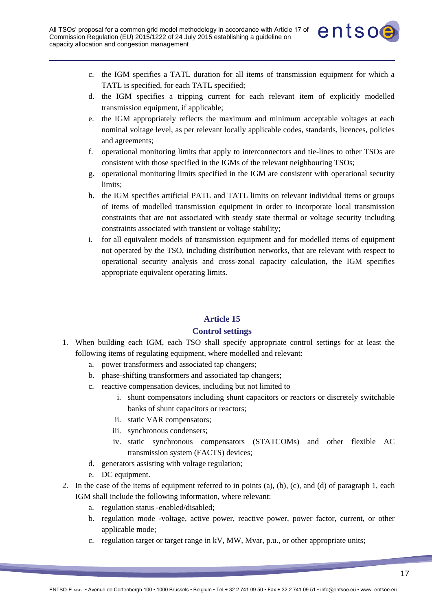

- c. the IGM specifies a TATL duration for all items of transmission equipment for which a TATL is specified, for each TATL specified;
- d. the IGM specifies a tripping current for each relevant item of explicitly modelled transmission equipment, if applicable;
- e. the IGM appropriately reflects the maximum and minimum acceptable voltages at each nominal voltage level, as per relevant locally applicable codes, standards, licences, policies and agreements;
- f. operational monitoring limits that apply to interconnectors and tie-lines to other TSOs are consistent with those specified in the IGMs of the relevant neighbouring TSOs;
- g. operational monitoring limits specified in the IGM are consistent with operational security limits;
- h. the IGM specifies artificial PATL and TATL limits on relevant individual items or groups of items of modelled transmission equipment in order to incorporate local transmission constraints that are not associated with steady state thermal or voltage security including constraints associated with transient or voltage stability;
- i. for all equivalent models of transmission equipment and for modelled items of equipment not operated by the TSO, including distribution networks, that are relevant with respect to operational security analysis and cross-zonal capacity calculation, the IGM specifies appropriate equivalent operating limits.

## **Control settings**

- 1. When building each IGM, each TSO shall specify appropriate control settings for at least the following items of regulating equipment, where modelled and relevant:
	- a. power transformers and associated tap changers;
	- b. phase-shifting transformers and associated tap changers;
	- c. reactive compensation devices, including but not limited to
		- i. shunt compensators including shunt capacitors or reactors or discretely switchable banks of shunt capacitors or reactors;
		- ii. static VAR compensators;
		- iii. synchronous condensers;
		- iv. static synchronous compensators (STATCOMs) and other flexible AC transmission system (FACTS) devices;
	- d. generators assisting with voltage regulation;
	- e. DC equipment.
- 2. In the case of the items of equipment referred to in points (a), (b), (c), and (d) of paragraph 1, each IGM shall include the following information, where relevant:
	- a. regulation status -enabled/disabled;
	- b. regulation mode -voltage, active power, reactive power, power factor, current, or other applicable mode;
	- c. regulation target or target range in kV, MW, Mvar, p.u., or other appropriate units;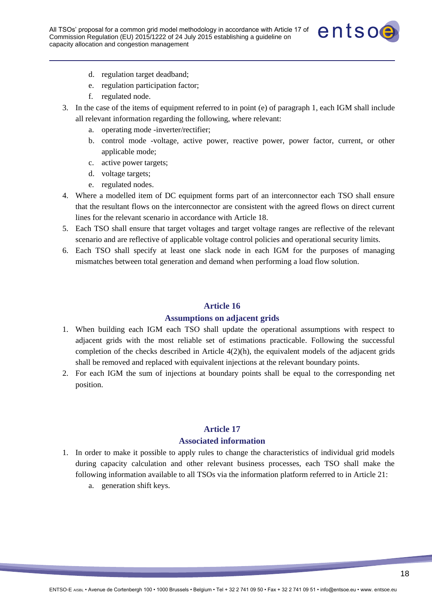

- d. regulation target deadband;
- e. regulation participation factor;
- f. regulated node.
- 3. In the case of the items of equipment referred to in point (e) of paragraph 1, each IGM shall include all relevant information regarding the following, where relevant:
	- a. operating mode -inverter/rectifier;
	- b. control mode -voltage, active power, reactive power, power factor, current, or other applicable mode;
	- c. active power targets;
	- d. voltage targets;
	- e. regulated nodes.
- 4. Where a modelled item of DC equipment forms part of an interconnector each TSO shall ensure that the resultant flows on the interconnector are consistent with the agreed flows on direct current lines for the relevant scenario in accordance with Article 18.
- 5. Each TSO shall ensure that target voltages and target voltage ranges are reflective of the relevant scenario and are reflective of applicable voltage control policies and operational security limits.
- 6. Each TSO shall specify at least one slack node in each IGM for the purposes of managing mismatches between total generation and demand when performing a load flow solution.

#### **Assumptions on adjacent grids**

- 1. When building each IGM each TSO shall update the operational assumptions with respect to adjacent grids with the most reliable set of estimations practicable. Following the successful completion of the checks described in Article  $4(2)(h)$ , the equivalent models of the adjacent grids shall be removed and replaced with equivalent injections at the relevant boundary points.
- 2. For each IGM the sum of injections at boundary points shall be equal to the corresponding net position.

## **Article 17**

#### **Associated information**

- 1. In order to make it possible to apply rules to change the characteristics of individual grid models during capacity calculation and other relevant business processes, each TSO shall make the following information available to all TSOs via the information platform referred to in Article 21:
	- a. generation shift keys.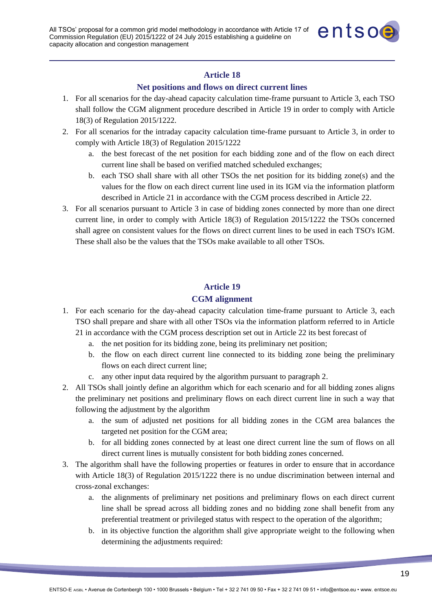

### **Net positions and flows on direct current lines**

- 1. For all scenarios for the day-ahead capacity calculation time-frame pursuant to Article 3, each TSO shall follow the CGM alignment procedure described in Article 19 in order to comply with Article 18(3) of Regulation 2015/1222.
- 2. For all scenarios for the intraday capacity calculation time-frame pursuant to Article 3, in order to comply with Article 18(3) of Regulation 2015/1222
	- a. the best forecast of the net position for each bidding zone and of the flow on each direct current line shall be based on verified matched scheduled exchanges;
	- b. each TSO shall share with all other TSOs the net position for its bidding zone(s) and the values for the flow on each direct current line used in its IGM via the information platform described in Article 21 in accordance with the CGM process described in Article 22.
- 3. For all scenarios pursuant to Article 3 in case of bidding zones connected by more than one direct current line, in order to comply with Article 18(3) of Regulation 2015/1222 the TSOs concerned shall agree on consistent values for the flows on direct current lines to be used in each TSO's IGM. These shall also be the values that the TSOs make available to all other TSOs.

## **Article 19**

### **CGM alignment**

- 1. For each scenario for the day-ahead capacity calculation time-frame pursuant to Article 3, each TSO shall prepare and share with all other TSOs via the information platform referred to in Article 21 in accordance with the CGM process description set out in Article 22 its best forecast of
	- a. the net position for its bidding zone, being its preliminary net position;
	- b. the flow on each direct current line connected to its bidding zone being the preliminary flows on each direct current line;
	- c. any other input data required by the algorithm pursuant to paragraph 2.
- 2. All TSOs shall jointly define an algorithm which for each scenario and for all bidding zones aligns the preliminary net positions and preliminary flows on each direct current line in such a way that following the adjustment by the algorithm
	- a. the sum of adjusted net positions for all bidding zones in the CGM area balances the targeted net position for the CGM area;
	- b. for all bidding zones connected by at least one direct current line the sum of flows on all direct current lines is mutually consistent for both bidding zones concerned.
- 3. The algorithm shall have the following properties or features in order to ensure that in accordance with Article 18(3) of Regulation 2015/1222 there is no undue discrimination between internal and cross-zonal exchanges:
	- a. the alignments of preliminary net positions and preliminary flows on each direct current line shall be spread across all bidding zones and no bidding zone shall benefit from any preferential treatment or privileged status with respect to the operation of the algorithm;
	- b. in its objective function the algorithm shall give appropriate weight to the following when determining the adjustments required: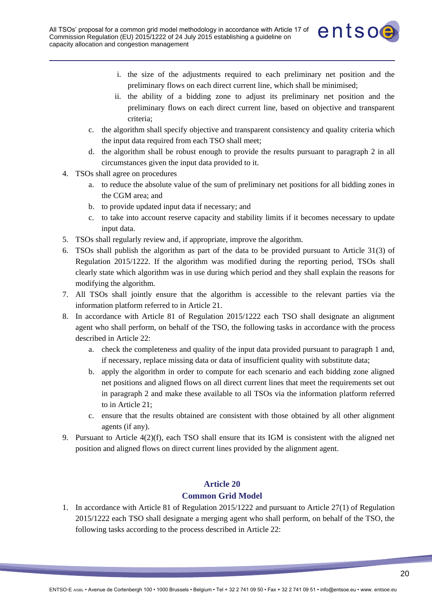

- i. the size of the adjustments required to each preliminary net position and the preliminary flows on each direct current line, which shall be minimised;
- ii. the ability of a bidding zone to adjust its preliminary net position and the preliminary flows on each direct current line, based on objective and transparent criteria;
- c. the algorithm shall specify objective and transparent consistency and quality criteria which the input data required from each TSO shall meet;
- d. the algorithm shall be robust enough to provide the results pursuant to paragraph 2 in all circumstances given the input data provided to it.
- 4. TSOs shall agree on procedures
	- a. to reduce the absolute value of the sum of preliminary net positions for all bidding zones in the CGM area; and
	- b. to provide updated input data if necessary; and
	- c. to take into account reserve capacity and stability limits if it becomes necessary to update input data.
- 5. TSOs shall regularly review and, if appropriate, improve the algorithm.
- 6. TSOs shall publish the algorithm as part of the data to be provided pursuant to Article 31(3) of Regulation 2015/1222. If the algorithm was modified during the reporting period, TSOs shall clearly state which algorithm was in use during which period and they shall explain the reasons for modifying the algorithm.
- 7. All TSOs shall jointly ensure that the algorithm is accessible to the relevant parties via the information platform referred to in Article 21.
- 8. In accordance with Article 81 of Regulation 2015/1222 each TSO shall designate an alignment agent who shall perform, on behalf of the TSO, the following tasks in accordance with the process described in Article 22:
	- a. check the completeness and quality of the input data provided pursuant to paragraph 1 and, if necessary, replace missing data or data of insufficient quality with substitute data;
	- b. apply the algorithm in order to compute for each scenario and each bidding zone aligned net positions and aligned flows on all direct current lines that meet the requirements set out in paragraph 2 and make these available to all TSOs via the information platform referred to in Article 21;
	- c. ensure that the results obtained are consistent with those obtained by all other alignment agents (if any).
- 9. Pursuant to Article 4(2)(f), each TSO shall ensure that its IGM is consistent with the aligned net position and aligned flows on direct current lines provided by the alignment agent.

## **Common Grid Model**

1. In accordance with Article 81 of Regulation 2015/1222 and pursuant to Article 27(1) of Regulation 2015/1222 each TSO shall designate a merging agent who shall perform, on behalf of the TSO, the following tasks according to the process described in Article 22: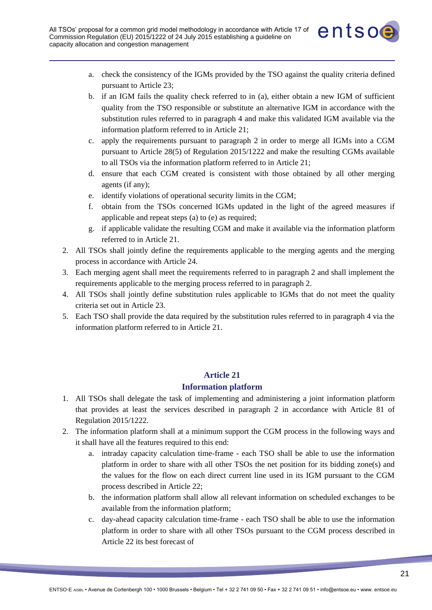

- a. check the consistency of the IGMs provided by the TSO against the quality criteria defined pursuant to Article 23;
- b. if an IGM fails the quality check referred to in (a), either obtain a new IGM of sufficient quality from the TSO responsible or substitute an alternative IGM in accordance with the substitution rules referred to in paragraph 4 and make this validated IGM available via the information platform referred to in Article 21;
- c. apply the requirements pursuant to paragraph 2 in order to merge all IGMs into a CGM pursuant to Article 28(5) of Regulation 2015/1222 and make the resulting CGMs available to all TSOs via the information platform referred to in Article 21;
- d. ensure that each CGM created is consistent with those obtained by all other merging agents (if any);
- e. identify violations of operational security limits in the CGM;
- f. obtain from the TSOs concerned IGMs updated in the light of the agreed measures if applicable and repeat steps (a) to (e) as required;
- g. if applicable validate the resulting CGM and make it available via the information platform referred to in Article 21.
- 2. All TSOs shall jointly define the requirements applicable to the merging agents and the merging process in accordance with Article 24.
- 3. Each merging agent shall meet the requirements referred to in paragraph 2 and shall implement the requirements applicable to the merging process referred to in paragraph 2.
- 4. All TSOs shall jointly define substitution rules applicable to IGMs that do not meet the quality criteria set out in Article 23.
- 5. Each TSO shall provide the data required by the substitution rules referred to in paragraph 4 via the information platform referred to in Article 21.

### **Information platform**

- 1. All TSOs shall delegate the task of implementing and administering a joint information platform that provides at least the services described in paragraph 2 in accordance with Article 81 of Regulation 2015/1222.
- 2. The information platform shall at a minimum support the CGM process in the following ways and it shall have all the features required to this end:
	- a. intraday capacity calculation time-frame each TSO shall be able to use the information platform in order to share with all other TSOs the net position for its bidding zone(s) and the values for the flow on each direct current line used in its IGM pursuant to the CGM process described in Article 22;
	- b. the information platform shall allow all relevant information on scheduled exchanges to be available from the information platform;
	- c. day-ahead capacity calculation time-frame each TSO shall be able to use the information platform in order to share with all other TSOs pursuant to the CGM process described in Article 22 its best forecast of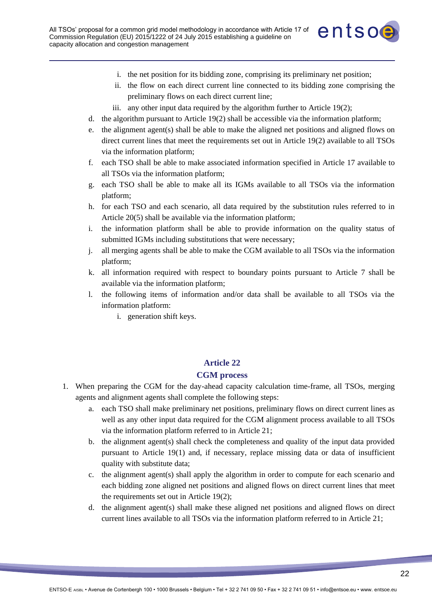

- i. the net position for its bidding zone, comprising its preliminary net position;
- ii. the flow on each direct current line connected to its bidding zone comprising the preliminary flows on each direct current line;
- iii. any other input data required by the algorithm further to Article 19(2);
- d. the algorithm pursuant to Article 19(2) shall be accessible via the information platform;
- e. the alignment agent(s) shall be able to make the aligned net positions and aligned flows on direct current lines that meet the requirements set out in Article 19(2) available to all TSOs via the information platform;
- f. each TSO shall be able to make associated information specified in Article 17 available to all TSOs via the information platform;
- g. each TSO shall be able to make all its IGMs available to all TSOs via the information platform;
- h. for each TSO and each scenario, all data required by the substitution rules referred to in Article 20(5) shall be available via the information platform;
- i. the information platform shall be able to provide information on the quality status of submitted IGMs including substitutions that were necessary;
- j. all merging agents shall be able to make the CGM available to all TSOs via the information platform;
- k. all information required with respect to boundary points pursuant to Article 7 shall be available via the information platform;
- l. the following items of information and/or data shall be available to all TSOs via the information platform:
	- i. generation shift keys.

### **CGM process**

- 1. When preparing the CGM for the day-ahead capacity calculation time-frame, all TSOs, merging agents and alignment agents shall complete the following steps:
	- a. each TSO shall make preliminary net positions, preliminary flows on direct current lines as well as any other input data required for the CGM alignment process available to all TSOs via the information platform referred to in Article 21;
	- b. the alignment agent(s) shall check the completeness and quality of the input data provided pursuant to Article 19(1) and, if necessary, replace missing data or data of insufficient quality with substitute data;
	- c. the alignment agent(s) shall apply the algorithm in order to compute for each scenario and each bidding zone aligned net positions and aligned flows on direct current lines that meet the requirements set out in Article 19(2);
	- d. the alignment agent(s) shall make these aligned net positions and aligned flows on direct current lines available to all TSOs via the information platform referred to in Article 21;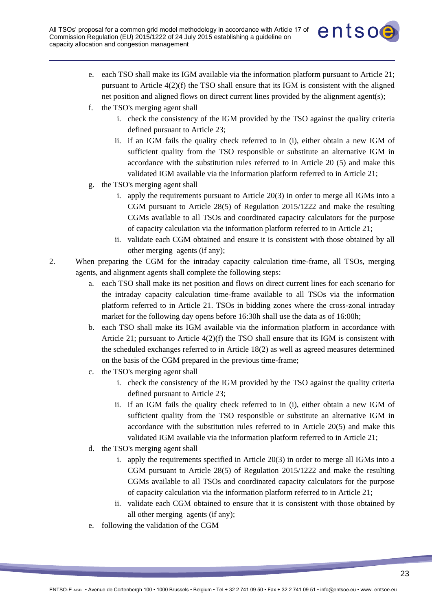

- e. each TSO shall make its IGM available via the information platform pursuant to Article 21; pursuant to Article 4(2)(f) the TSO shall ensure that its IGM is consistent with the aligned net position and aligned flows on direct current lines provided by the alignment agent(s);
- f. the TSO's merging agent shall
	- i. check the consistency of the IGM provided by the TSO against the quality criteria defined pursuant to Article 23;
	- ii. if an IGM fails the quality check referred to in (i), either obtain a new IGM of sufficient quality from the TSO responsible or substitute an alternative IGM in accordance with the substitution rules referred to in Article 20 (5) and make this validated IGM available via the information platform referred to in Article 21;
- g. the TSO's merging agent shall
	- i. apply the requirements pursuant to Article 20(3) in order to merge all IGMs into a CGM pursuant to Article 28(5) of Regulation 2015/1222 and make the resulting CGMs available to all TSOs and coordinated capacity calculators for the purpose of capacity calculation via the information platform referred to in Article 21;
	- ii. validate each CGM obtained and ensure it is consistent with those obtained by all other merging agents (if any);
- 2. When preparing the CGM for the intraday capacity calculation time-frame, all TSOs, merging agents, and alignment agents shall complete the following steps:
	- a. each TSO shall make its net position and flows on direct current lines for each scenario for the intraday capacity calculation time-frame available to all TSOs via the information platform referred to in Article 21. TSOs in bidding zones where the cross-zonal intraday market for the following day opens before 16:30h shall use the data as of 16:00h;
	- b. each TSO shall make its IGM available via the information platform in accordance with Article 21; pursuant to Article 4(2)(f) the TSO shall ensure that its IGM is consistent with the scheduled exchanges referred to in Article 18(2) as well as agreed measures determined on the basis of the CGM prepared in the previous time-frame;
	- c. the TSO's merging agent shall
		- i. check the consistency of the IGM provided by the TSO against the quality criteria defined pursuant to Article 23;
		- ii. if an IGM fails the quality check referred to in (i), either obtain a new IGM of sufficient quality from the TSO responsible or substitute an alternative IGM in accordance with the substitution rules referred to in Article 20(5) and make this validated IGM available via the information platform referred to in Article 21;
	- d. the TSO's merging agent shall
		- i. apply the requirements specified in Article 20(3) in order to merge all IGMs into a CGM pursuant to Article 28(5) of Regulation 2015/1222 and make the resulting CGMs available to all TSOs and coordinated capacity calculators for the purpose of capacity calculation via the information platform referred to in Article 21;
		- ii. validate each CGM obtained to ensure that it is consistent with those obtained by all other merging agents (if any);
	- e. following the validation of the CGM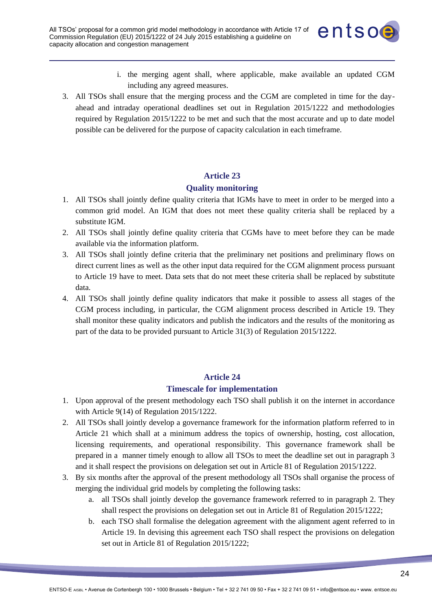

- i. the merging agent shall, where applicable, make available an updated CGM including any agreed measures.
- 3. All TSOs shall ensure that the merging process and the CGM are completed in time for the dayahead and intraday operational deadlines set out in Regulation 2015/1222 and methodologies required by Regulation 2015/1222 to be met and such that the most accurate and up to date model possible can be delivered for the purpose of capacity calculation in each timeframe.

### **Quality monitoring**

- 1. All TSOs shall jointly define quality criteria that IGMs have to meet in order to be merged into a common grid model. An IGM that does not meet these quality criteria shall be replaced by a substitute IGM.
- 2. All TSOs shall jointly define quality criteria that CGMs have to meet before they can be made available via the information platform.
- 3. All TSOs shall jointly define criteria that the preliminary net positions and preliminary flows on direct current lines as well as the other input data required for the CGM alignment process pursuant to Article 19 have to meet. Data sets that do not meet these criteria shall be replaced by substitute data.
- 4. All TSOs shall jointly define quality indicators that make it possible to assess all stages of the CGM process including, in particular, the CGM alignment process described in Article 19. They shall monitor these quality indicators and publish the indicators and the results of the monitoring as part of the data to be provided pursuant to Article 31(3) of Regulation 2015/1222.

### **Article 24**

#### **Timescale for implementation**

- 1. Upon approval of the present methodology each TSO shall publish it on the internet in accordance with Article 9(14) of Regulation 2015/1222.
- 2. All TSOs shall jointly develop a governance framework for the information platform referred to in Article 21 which shall at a minimum address the topics of ownership, hosting, cost allocation, licensing requirements, and operational responsibility. This governance framework shall be prepared in a manner timely enough to allow all TSOs to meet the deadline set out in paragraph 3 and it shall respect the provisions on delegation set out in Article 81 of Regulation 2015/1222.
- 3. By six months after the approval of the present methodology all TSOs shall organise the process of merging the individual grid models by completing the following tasks:
	- a. all TSOs shall jointly develop the governance framework referred to in paragraph 2. They shall respect the provisions on delegation set out in Article 81 of Regulation 2015/1222;
	- b. each TSO shall formalise the delegation agreement with the alignment agent referred to in Article 19. In devising this agreement each TSO shall respect the provisions on delegation set out in Article 81 of Regulation 2015/1222;